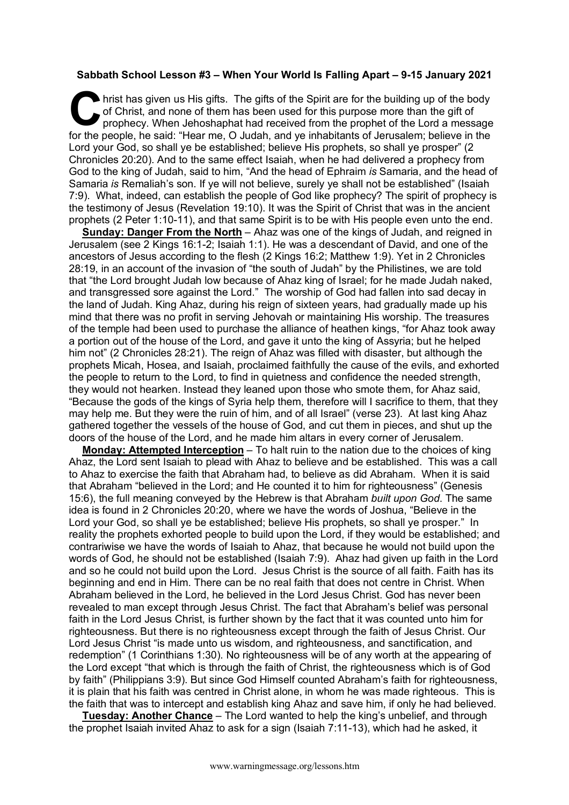## **Sabbath School Lesson #3 – When Your World Is Falling Apart – 9-15 January 2021**

hrist has given us His gifts. The gifts of the Spirit are for the building up of the body of Christ, and none of them has been used for this purpose more than the gift of prophecy. When Jehoshaphat had received from the prophet of the Lord a message for the people, he said: "Hear me, O Judah, and ye inhabitants of Jerusalem; believe in the Lord your God, so shall ye be established; believe His prophets, so shall ye prosper" (2 Chronicles 20:20). And to the same effect Isaiah, when he had delivered a prophecy from God to the king of Judah, said to him, "And the head of Ephraim *is* Samaria, and the head of Samaria *is* Remaliah's son. If ye will not believe, surely ye shall not be established" (Isaiah 7:9). What, indeed, can establish the people of God like prophecy? The spirit of prophecy is the testimony of Jesus (Revelation 19:10). It was the Spirit of Christ that was in the ancient prophets (2 Peter 1:10-11), and that same Spirit is to be with His people even unto the end. C hris

**Sunday: Danger From the North** – Ahaz was one of the kings of Judah, and reigned in Jerusalem (see 2 Kings 16:1-2; Isaiah 1:1). He was a descendant of David, and one of the ancestors of Jesus according to the flesh (2 Kings 16:2; Matthew 1:9). Yet in 2 Chronicles 28:19, in an account of the invasion of "the south of Judah" by the Philistines, we are told that "the Lord brought Judah low because of Ahaz king of Israel; for he made Judah naked, and transgressed sore against the Lord." The worship of God had fallen into sad decay in the land of Judah. King Ahaz, during his reign of sixteen years, had gradually made up his mind that there was no profit in serving Jehovah or maintaining His worship. The treasures of the temple had been used to purchase the alliance of heathen kings, "for Ahaz took away a portion out of the house of the Lord, and gave it unto the king of Assyria; but he helped him not" (2 Chronicles 28:21). The reign of Ahaz was filled with disaster, but although the prophets Micah, Hosea, and Isaiah, proclaimed faithfully the cause of the evils, and exhorted the people to return to the Lord, to find in quietness and confidence the needed strength, they would not hearken. Instead they leaned upon those who smote them, for Ahaz said, "Because the gods of the kings of Syria help them, therefore will I sacrifice to them, that they may help me. But they were the ruin of him, and of all Israel" (verse 23). At last king Ahaz gathered together the vessels of the house of God, and cut them in pieces, and shut up the doors of the house of the Lord, and he made him altars in every corner of Jerusalem.

**Monday: Attempted Interception** – To halt ruin to the nation due to the choices of king Ahaz, the Lord sent Isaiah to plead with Ahaz to believe and be established. This was a call to Ahaz to exercise the faith that Abraham had, to believe as did Abraham. When it is said that Abraham "believed in the Lord; and He counted it to him for righteousness" (Genesis 15:6), the full meaning conveyed by the Hebrew is that Abraham *built upon God*. The same idea is found in 2 Chronicles 20:20, where we have the words of Joshua, "Believe in the Lord your God, so shall ye be established; believe His prophets, so shall ye prosper." In reality the prophets exhorted people to build upon the Lord, if they would be established; and contrariwise we have the words of Isaiah to Ahaz, that because he would not build upon the words of God, he should not be established (Isaiah 7:9). Ahaz had given up faith in the Lord and so he could not build upon the Lord. Jesus Christ is the source of all faith. Faith has its beginning and end in Him. There can be no real faith that does not centre in Christ. When Abraham believed in the Lord, he believed in the Lord Jesus Christ. God has never been revealed to man except through Jesus Christ. The fact that Abraham's belief was personal faith in the Lord Jesus Christ, is further shown by the fact that it was counted unto him for righteousness. But there is no righteousness except through the faith of Jesus Christ. Our Lord Jesus Christ "is made unto us wisdom, and righteousness, and sanctification, and redemption" (1 Corinthians 1:30). No righteousness will be of any worth at the appearing of the Lord except "that which is through the faith of Christ, the righteousness which is of God by faith" (Philippians 3:9). But since God Himself counted Abraham's faith for righteousness, it is plain that his faith was centred in Christ alone, in whom he was made righteous. This is the faith that was to intercept and establish king Ahaz and save him, if only he had believed.

**Tuesday: Another Chance** – The Lord wanted to help the king's unbelief, and through the prophet Isaiah invited Ahaz to ask for a sign (Isaiah 7:11-13), which had he asked, it